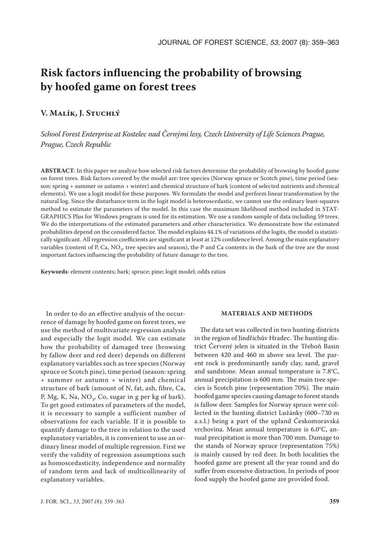# **Risk factors influencing the probability of browsing by hoofed game on forest trees**

## **V. Malík, J. Stuchlý**

*School Forest Enterprise at Kostelec nad Černými lesy, Czech University of Life Sciences Prague, Prague, Czech Republic*

**ABSTRACT**: In this paper we analyze how selected risk factors determine the probability of browsing by hoofed game on forest trees. Risk factors covered by the model are: tree species (Norway spruce or Scotch pine), time period (season: spring + summer or autumn + winter) and chemical structure of bark (content of selected nutrients and chemical elements). We use a logit model for these purposes. We formulate the model and perform linear transformation by the natural log. Since the disturbance term in the logit model is heteroscedastic, we cannot use the ordinary least-squares method to estimate the parameters of the model. In this case the maximum likelihood method included in STAT-GRAPHICS Plus for Windows program is used for its estimation. We use a random sample of data including 59 trees. We do the interpretations of the estimated parameters and other characteristics. We demonstrate how the estimated probabilities depend on the considered factor. The model explains 44.1% of variations of the logits, the model is statistically significant. All regression coefficients are significant at least at 12% confidence level. Among the main explanatory variables (content of P, Ca, NO<sub>3</sub>, tree species and season), the P and Ca contents in the bark of the tree are the most important factors influencing the probability of future damage to the tree.

**Keywords**: element contents; bark; spruce; pine; logit model; odds ratios

In order to do an effective analysis of the occurrence of damage by hoofed game on forest trees, we use the method of multivariate regression analysis and especially the logit model. We can estimate how the probability of damaged tree (browsing by fallow deer and red deer) depends on different explanatory variables such as tree species (Norway spruce or Scotch pine), time period (season: spring + summer or autumn + winter) and chemical structure of bark (amount of N, fat, ash, fibre, Ca, P, Mg, K, Na, NO<sub>3</sub>, Co, sugar in g per kg of bark). To get good estimates of parameters of the model, it is necessary to sample a sufficient number of observations for each variable. If it is possible to quantify damage to the tree in relation to the used explanatory variables, it is convenient to use an ordinary linear model of multiple regression. First we verify the validity of regression assumptions such as homoscedasticity, independence and normality of random term and lack of multicollinearity of explanatory variables.

#### **MATERIALS AND METHODS**

The data set was collected in two hunting districts in the region of Jindřichův Hradec. The hunting district Červený jelen is situated in the Třeboň Basin between 420 and 460 m above sea level. The parent rock is predominantly sandy clay, sand, gravel and sandstone. Mean annual temperature is 7.8°C, annual precipitation is 600 mm. The main tree species is Scotch pine (representation 70%). The main hoofed game species causing damage to forest stands is fallow deer. Samples for Norway spruce were collected in the hunting district Lužánky (600–730 m a.s.l.) being a part of the upland Českomoravská vrchovina. Mean annual temperature is 6.0°C, annual precipitation is more than 700 mm. Damage to the stands of Norway spruce (representation 75%) is mainly caused by red deer. In both localities the hoofed game are present all the year round and do suffer from excessive distraction. In periods of poor food supply the hoofed game are provided food.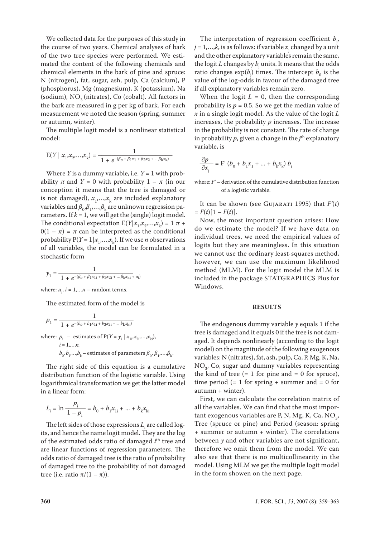We collected data for the purposes of this study in the course of two years. Chemical analyses of bark of the two tree species were performed. We estimated the content of the following chemicals and chemical elements in the bark of pine and spruce: N (nitrogen), fat, sugar, ash, pulp, Ca (calcium), P (phosphorus), Mg (magnesium), K (potassium), Na (sodium),  $NO<sub>3</sub>$  (nitrates), Co (cobalt). All factors in the bark are measured in g per kg of bark. For each measurement we noted the season (spring, summer or autumn, winter).

The multiple logit model is a nonlinear statistical model:

$$
E(Y \mid x_1, x_2, \dots, x_k) = \frac{1}{1 + e^{-(\beta_0 + \beta_1 x_1 + \beta_2 x_2 + \dots + \beta_k x_k)}}
$$

Where *Y* is a dummy variable, i.e. *Y* = 1 with probability  $\pi$  and  $Y = 0$  with probability  $1 - \pi$  (in our conception it means that the tree is damaged or is not damaged),  $x_1,...,x_k$  are included explanatory variables and  $\beta_{0}$ , $\beta_{1}$ ,..., $\beta_{k}$  are unknown regression parameters. If  $k = 1$ , we will get the (single) logit model. The conditional expectation  $E(Y|x_1, x_2, \ldots, x_k) = 1 \pi +$  $0(1 - \pi) = \pi$  can be interpreted as the conditional probability  $P(Y = 1 | x_1, \ldots, x_k)$ . If we use *n* observations of all variables, the model can be formulated in a stochastic form

$$
y_1 = \frac{1}{1 + e^{-(\beta_o + \beta_1 x_{1i} + \beta_2 x_{2i} + \dots \beta_k x_{ki} + u_i)}}
$$

where:  $u_i$ ,  $i = 1,...n$  – random terms.

The estimated form of the model is

$$
p_1 = \frac{1}{1 + e^{-(b_0 + b_1x_{1i} + b_2x_{2i} + \dots b_kx_{ki})}}
$$
  
where:  $p_i$  – estimates of  $P(Y = y_i | x_{1i}x_{2i}...,x_{ki})$ ,  
 $i = 1,...,n$ ,

 $b_0$ ,  $b_1$ ,…, $b_k$  – estimates of parameters  $\beta_0$ ,  $\beta_1$ ,…, $\beta_k$ .

The right side of this equation is a cumulative distribution function of the logistic variable. Using logarithmical transformation we get the latter model in a linear form:

$$
L_i = \ln \frac{p_i}{1 - p_i} = b_0 + b_1 x_{1i} + \dots + b_k x_{ki}
$$

The left sides of those expressions  $L<sub>i</sub>$  are called logits, and hence the name logit model. They are the log of the estimated odds ratio of damaged *i*<sup>th</sup> tree and are linear functions of regression parameters. The odds ratio of damaged tree is the ratio of probability of damaged tree to the probability of not damaged tree (i.e. ratio  $\pi/(1-\pi)$ ).

The interpretation of regression coefficient  $b_{j}$ ,  $j = 1,...,k$ , is as follows: if variable  $x_j$  changed by a unit and the other explanatory variables remain the same, the logit *L* changes by  $b_j$  units. It means that the odds ratio changes  $\exp(b_j)$  times. The intercept  $b_0$  is the value of the log-odds in favour of the damaged tree if all explanatory variables remain zero.

When the logit  $L = 0$ , then the corresponding probability is  $p = 0.5$ . So we get the median value of *x* in a single logit model. As the value of the logit *L* increases, the probability *p* increases. The increase in the probability is not constant. The rate of change in probability  $p$ , given a change in the  $j<sup>th</sup>$  explanatory variable, is

$$
\frac{\partial p}{\partial x_j} = \mathbf{F}' \left( b_0 + b_1 x_1 + \dots + b_k x_k \right) b_j
$$

where: *F'* – derivation of the cumulative distribution function of a logistic variable.

It can be shown (see GUJARATI 1995) that  $F'(t)$  $= F(t)[1 - F(t)].$ 

Now, the most important question arises: How do we estimate the model? If we have data on individual trees, we need the empirical values of logits but they are meaningless. In this situation we cannot use the ordinary least-squares method, however, we can use the maximum likelihood method (MLM). For the logit model the MLM is included in the package STATGRAPHICS Plus for Windows.

#### **RESULTS**

The endogenous dummy variable *y* equals 1 if the tree is damaged and it equals 0 if the tree is not damaged. It depends nonlinearly (according to the logit model) on the magnitude of the following exogenous variables: N (nitrates), fat, ash, pulp, Ca, P, Mg, K, Na,  $NO<sub>3</sub>$ , Co, sugar and dummy variables representing the kind of tree  $(= 1$  for pine and  $= 0$  for spruce), time period  $(= 1$  for spring  $+$  summer and  $= 0$  for autumn + winter).

First, we can calculate the correlation matrix of all the variables. We can find that the most important exogenous variables are P, N, Mg, K, Ca,  $NO<sub>3</sub>$ , Tree (spruce or pine) and Period (season: spring + summer or autumn + winter). The correlations between *y* and other variables are not significant, therefore we omit them from the model. We can also see that there is no multicollinearity in the model. Using MLM we get the multiple logit model in the form showen on the next page.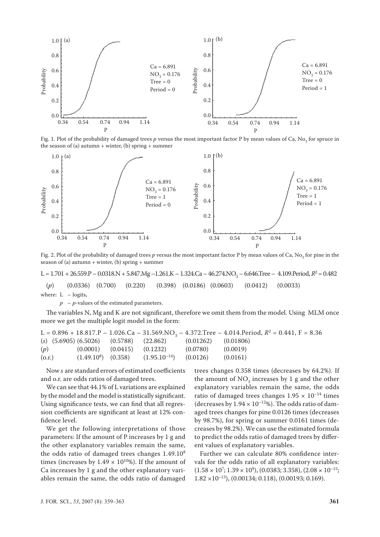

Fig. 1. Plot of the probability of damaged trees  $p$  versus the most important factor P by mean values of Ca, No<sub>3</sub> for spruce in the season of (a) autumn  $+$  winter, (b) spring  $+$  summer



Fig. 2. Plot of the probability of damaged trees p versus the most important factor P by mean values of Ca, No<sub>3</sub> for pine in the season of (a) autumn  $+$  winter, (b) spring  $+$  summer

 $L = 1.701 + 26.559 \cdot P - 0.0318 \cdot N + 5.847 \cdot Mg - 1.261 \cdot K - 1.324 \cdot Ca - 46.274 \cdot NO_3 - 6.646 \cdot T \cdot re - 4.109 \cdot Period, R^2 = 0.482$ (*p*) (0.0336) (0.700) (0.220) (0.398) (0.0186) (0.0603) (0.0412) (0.0033) where:  $L - logits$ ,

*p* – *p-*values of the estimated parameters.

The variables N, Mg and K are not significant, therefore we omit them from the model. Using MLM once more we get the multiple logit model in the form:

|        |                                  |                                                                         |          | L = 0.896 + 18.817.P - 1.026.Ca - 31.569.NO <sub>3</sub> - 4.372.Tree - 4.014.Period, $R^2$ = 0.441, F = 8.36 |
|--------|----------------------------------|-------------------------------------------------------------------------|----------|---------------------------------------------------------------------------------------------------------------|
|        |                                  | (s) $(5.6905)$ $(6.5026)$ $(0.5788)$ $(22.862)$ $(0.01262)$ $(0.01806)$ |          |                                                                                                               |
| (p)    | $(0.0001)$ $(0.0415)$ $(0.1232)$ |                                                                         | (0.0780) | (0.0019)                                                                                                      |
| (0.r.) |                                  | $(1.49.10^8)$ $(0.358)$ $(1.95.10^{-14})$ $(0.0126)$ $(0.0161)$         |          |                                                                                                               |

Now *s* are standard errors of estimated coefficients and o.r. are odds ratios of damaged trees.

We can see that 44.1% of L variations are explained by the model and the model is statistically significant. Using significance tests, we can find that all regression coefficients are significant at least at 12% confidence level.

We get the following interpretations of those parameters: If the amount of P increases by 1 g and the other explanatory variables remain the same, the odds ratio of damaged trees changes 1.49.10<sup>8</sup> times (increases by  $1.49 \times 10^{10}$ %). If the amount of Ca increases by 1 g and the other explanatory variables remain the same, the odds ratio of damaged

trees changes 0.358 times (decreases by 64.2%). If the amount of  $NO_3$  increases by 1 g and the other explanatory variables remain the same, the odds ratio of damaged trees changes  $1.95 \times 10^{-14}$  times (decreases by  $1.94 \times 10^{-12}$ %). The odds ratio of damaged trees changes for pine 0.0126 times (decreases by 98.7%), for spring or summer 0.0161 times (decreases by 98.2%). We can use the estimated formula to predict the odds ratio of damaged trees by different values of explanatory variables.

Further we can calculate 80% confidence intervals for the odds ratio of all explanatory variables:  $(1.58 \times 10^7; 1.39 \times 10^9), (0.0383; 3.358), (2.08 \times 10^{-15};$  $1.82 \times 10^{-13}$ ), (0.00134; 0.118), (0.00193; 0.169).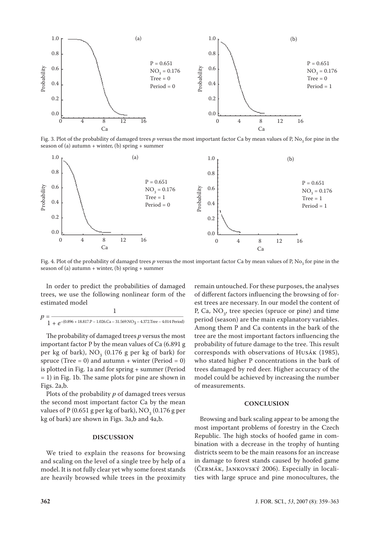

Fig. 3. Plot of the probability of damaged trees  $p$  versus the most important factor Ca by mean values of P, No<sub>3</sub> for pine in the season of (a) autumn  $+$  winter, (b) spring  $+$  summer



Fig. 4. Plot of the probability of damaged trees  $p$  versus the most important factor Ca by mean values of P, No<sub>3</sub> for pine in the season of (a) autumn + winter, (b) spring + summer

In order to predict the probabilities of damaged trees, we use the following nonlinear form of the estimated model

$$
p = \frac{1}{1 + e^{-(0.896 + 18.817 \cdot P - 1.026 \cdot \text{Ca} - 31.569 \cdot \text{NO}_3 - 4.372 \cdot \text{Tree} - 4.014 \cdot \text{Period})}}
$$

The probability of damaged trees *p* versus the most important factor P by the mean values of Ca (6.891 g per kg of bark),  $NO<sub>3</sub>$  (0.176 g per kg of bark) for spruce (Tree = 0) and autumn + winter (Period = 0) is plotted in Fig. 1a and for spring + summer (Period = 1) in Fig. 1b. The same plots for pine are shown in Figs. 2a,b.

Plots of the probability *p* of damaged trees versus the second most important factor Ca by the mean values of P (0.651 g per kg of bark),  $\rm NO_3^{\phantom 3} (0.176$  g per kg of bark) are shown in Figs. 3a,b and 4a,b.

### **DISCUSSION**

We tried to explain the reasons for browsing and scaling on the level of a single tree by help of a model. It is not fully clear yet why some forest stands are heavily browsed while trees in the proximity

remain untouched. For these purposes, the analyses of different factors influencing the browsing of forest trees are necessary. In our model the content of P, Ca,  $NO_3$ , tree species (spruce or pine) and time period (season) are the main explanatory variables. Among them P and Ca contents in the bark of the tree are the most important factors influencing the probability of future damage to the tree. This result corresponds with observations of Husák (1985), who stated higher P concentrations in the bark of trees damaged by red deer. Higher accuracy of the model could be achieved by increasing the number of measurements.

#### **CONCLUSION**

Browsing and bark scaling appear to be among the most important problems of forestry in the Czech Republic. The high stocks of hoofed game in combination with a decrease in the trophy of hunting districts seem to be the main reasons for an increase in damage to forest stands caused by hoofed game (Čermák, Jankovský 2006). Especially in localities with large spruce and pine monocultures, the